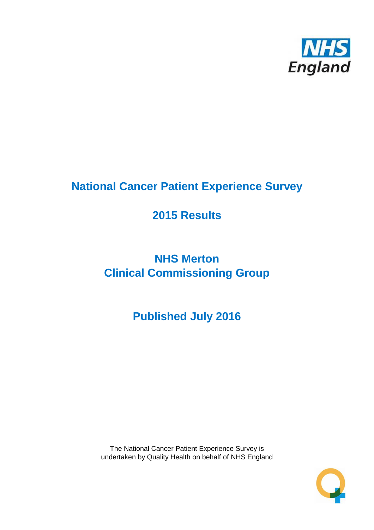

# **National Cancer Patient Experience Survey**

# **2015 Results**

# **NHS Merton Clinical Commissioning Group**

# **Published July 2016**

The National Cancer Patient Experience Survey is undertaken by Quality Health on behalf of NHS England

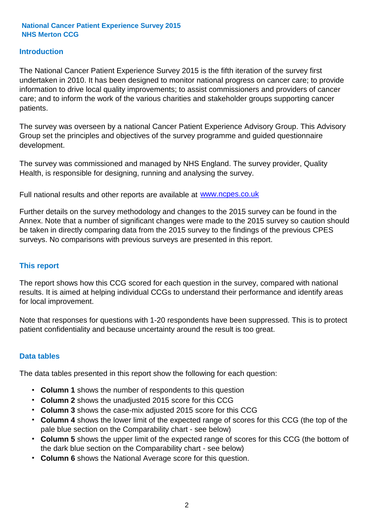#### **Introduction**

The National Cancer Patient Experience Survey 2015 is the fifth iteration of the survey first undertaken in 2010. It has been designed to monitor national progress on cancer care; to provide information to drive local quality improvements; to assist commissioners and providers of cancer care; and to inform the work of the various charities and stakeholder groups supporting cancer patients.

The survey was overseen by a national Cancer Patient Experience Advisory Group. This Advisory Group set the principles and objectives of the survey programme and guided questionnaire development.

The survey was commissioned and managed by NHS England. The survey provider, Quality Health, is responsible for designing, running and analysing the survey.

Full national results and other reports are available at www.ncpes.co.uk

Further details on the survey methodology and changes to the 2015 survey can be found in the Annex. Note that a number of significant changes were made to the 2015 survey so caution should be taken in directly comparing data from the 2015 survey to the findings of the previous CPES surveys. No comparisons with previous surveys are presented in this report.

#### **This report**

The report shows how this CCG scored for each question in the survey, compared with national results. It is aimed at helping individual CCGs to understand their performance and identify areas for local improvement.

Note that responses for questions with 1-20 respondents have been suppressed. This is to protect patient confidentiality and because uncertainty around the result is too great.

#### **Data tables**

The data tables presented in this report show the following for each question:

- **Column 1** shows the number of respondents to this question
- **Column 2** shows the unadjusted 2015 score for this CCG
- **Column 3** shows the case-mix adjusted 2015 score for this CCG
- **Column 4** shows the lower limit of the expected range of scores for this CCG (the top of the pale blue section on the Comparability chart - see below)
- **Column 5** shows the upper limit of the expected range of scores for this CCG (the bottom of the dark blue section on the Comparability chart - see below)
- **Column 6** shows the National Average score for this question.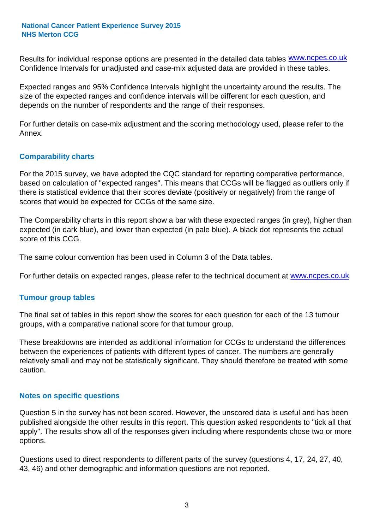Results for individual response options are presented in the detailed data tables **WWW.ncpes.co.uk** Confidence Intervals for unadjusted and case-mix adjusted data are provided in these tables.

Expected ranges and 95% Confidence Intervals highlight the uncertainty around the results. The size of the expected ranges and confidence intervals will be different for each question, and depends on the number of respondents and the range of their responses.

For further details on case-mix adjustment and the scoring methodology used, please refer to the Annex.

#### **Comparability charts**

For the 2015 survey, we have adopted the CQC standard for reporting comparative performance, based on calculation of "expected ranges". This means that CCGs will be flagged as outliers only if there is statistical evidence that their scores deviate (positively or negatively) from the range of scores that would be expected for CCGs of the same size.

The Comparability charts in this report show a bar with these expected ranges (in grey), higher than expected (in dark blue), and lower than expected (in pale blue). A black dot represents the actual score of this CCG.

The same colour convention has been used in Column 3 of the Data tables.

For further details on expected ranges, please refer to the technical document at **www.ncpes.co.uk** 

#### **Tumour group tables**

The final set of tables in this report show the scores for each question for each of the 13 tumour groups, with a comparative national score for that tumour group.

These breakdowns are intended as additional information for CCGs to understand the differences between the experiences of patients with different types of cancer. The numbers are generally relatively small and may not be statistically significant. They should therefore be treated with some caution.

#### **Notes on specific questions**

Question 5 in the survey has not been scored. However, the unscored data is useful and has been published alongside the other results in this report. This question asked respondents to "tick all that apply". The results show all of the responses given including where respondents chose two or more options.

Questions used to direct respondents to different parts of the survey (questions 4, 17, 24, 27, 40, 43, 46) and other demographic and information questions are not reported.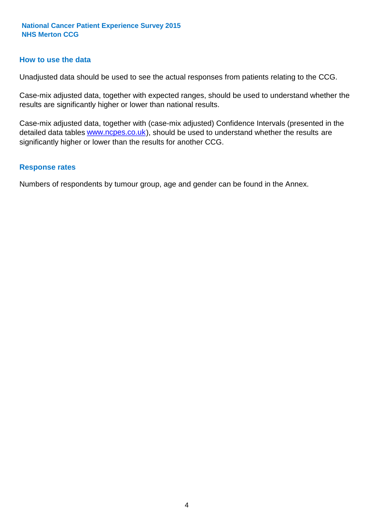#### **How to use the data**

Unadjusted data should be used to see the actual responses from patients relating to the CCG.

Case-mix adjusted data, together with expected ranges, should be used to understand whether the results are significantly higher or lower than national results.

Case-mix adjusted data, together with (case-mix adjusted) Confidence Intervals (presented in the detailed data tables **www.ncpes.co.uk**), should be used to understand whether the results are significantly higher or lower than the results for another CCG.

#### **Response rates**

Numbers of respondents by tumour group, age and gender can be found in the Annex.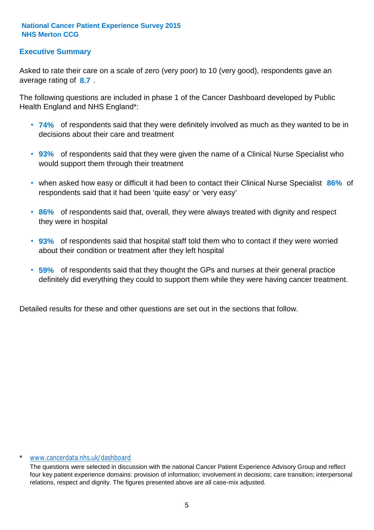#### **Executive Summary**

average rating of 8.7. Asked to rate their care on a scale of zero (very poor) to 10 (very good), respondents gave an

The following questions are included in phase 1 of the Cancer Dashboard developed by Public Health England and NHS England\*:

- **74%** of respondents said that they were definitely involved as much as they wanted to be in decisions about their care and treatment
- **93%** of respondents said that they were given the name of a Clinical Nurse Specialist who would support them through their treatment
- when asked how easy or difficult it had been to contact their Clinical Nurse Specialist 86% of respondents said that it had been 'quite easy' or 'very easy'
- **86%** of respondents said that, overall, they were always treated with dignity and respect they were in hospital
- **93%** of respondents said that hospital staff told them who to contact if they were worried about their condition or treatment after they left hospital
- **59%** of respondents said that they thought the GPs and nurses at their general practice definitely did everything they could to support them while they were having cancer treatment.

Detailed results for these and other questions are set out in the sections that follow.

#### \* www.cancerdata.nhs.uk/dashboard

The questions were selected in discussion with the national Cancer Patient Experience Advisory Group and reflect four key patient experience domains: provision of information; involvement in decisions; care transition; interpersonal relations, respect and dignity. The figures presented above are all case-mix adjusted.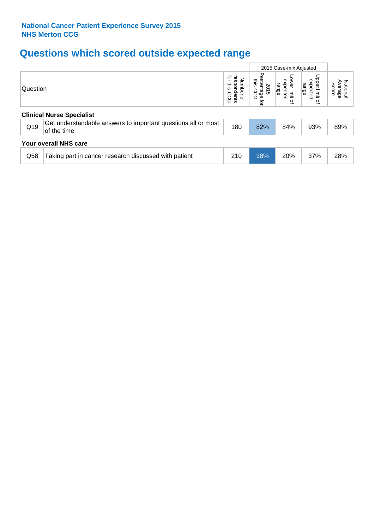# **Questions which scored outside expected range**

|          |                                                                              |                                                |                                                |                                       | 2015 Case-mix Adjusted                |                              |  |  |  |
|----------|------------------------------------------------------------------------------|------------------------------------------------|------------------------------------------------|---------------------------------------|---------------------------------------|------------------------------|--|--|--|
| Question |                                                                              | respondents<br>ਕ੍ਰ<br>Number of<br>sins<br>CCG | Perc<br>this<br>sentage<br>is CCG<br>2015<br>ą | Lower limit<br>expected<br>range<br>Չ | Upper limit<br>expected<br>range<br>₽ | National<br>Average<br>Score |  |  |  |
|          | <b>Clinical Nurse Specialist</b>                                             |                                                |                                                |                                       |                                       |                              |  |  |  |
| Q19      | Get understandable answers to important questions all or most<br>of the time | 180                                            | 82%                                            | 84%                                   | 93%                                   | 89%                          |  |  |  |
|          | Your overall NHS care                                                        |                                                |                                                |                                       |                                       |                              |  |  |  |
| Q58      | Taking part in cancer research discussed with patient                        | 210                                            | 38%                                            | 20%                                   | 37%                                   | 28%                          |  |  |  |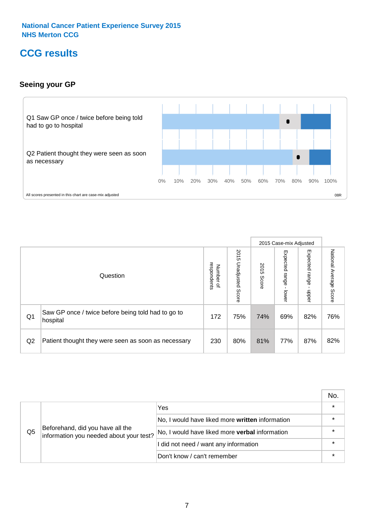## **CCG results**

#### **Seeing your GP**



|                |                                                                |                                              |                       |               | 2015 Case-mix Adjusted     |                            |                           |
|----------------|----------------------------------------------------------------|----------------------------------------------|-----------------------|---------------|----------------------------|----------------------------|---------------------------|
|                | Question                                                       | respondents<br>Number<br>$\overline{\sigma}$ | 2015 Unadjusted Score | 2015<br>Score | Expected<br>range<br>lower | Expected<br>range<br>nbber | National Average<br>Score |
| Q <sub>1</sub> | Saw GP once / twice before being told had to go to<br>hospital | 172                                          | 75%                   | 74%           | 69%                        | 82%                        | 76%                       |
| Q2             | Patient thought they were seen as soon as necessary            | 230                                          | 80%                   | 81%           | 77%                        | 87%                        | 82%                       |

|    |                                                                             |                                                 | No. |
|----|-----------------------------------------------------------------------------|-------------------------------------------------|-----|
|    | Beforehand, did you have all the<br>information you needed about your test? | Yes                                             |     |
| Q5 |                                                                             | No, I would have liked more written information |     |
|    |                                                                             | No, I would have liked more verbal information  |     |
|    |                                                                             | I did not need / want any information           |     |
|    |                                                                             | Don't know / can't remember                     |     |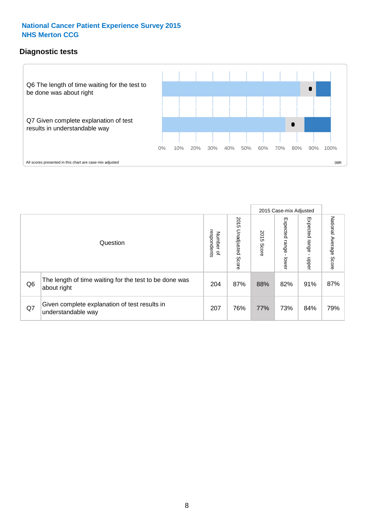#### **Diagnostic tests**



|                |                                                                       |                                       |                             |               | 2015 Case-mix Adjusted       |                         |                           |
|----------------|-----------------------------------------------------------------------|---------------------------------------|-----------------------------|---------------|------------------------------|-------------------------|---------------------------|
|                | Question                                                              | respondents<br>Number<br>$\mathbf{Q}$ | 2015<br>Unadjusted<br>Score | 2015<br>Score | Expected<br>I range<br>lower | Expected range<br>nbber | National Average<br>Score |
| Q <sub>6</sub> | The length of time waiting for the test to be done was<br>about right | 204                                   | 87%                         | 88%           | 82%                          | 91%                     | 87%                       |
| Q7             | Given complete explanation of test results in<br>understandable way   | 207                                   | 76%                         | 77%           | 73%                          | 84%                     | 79%                       |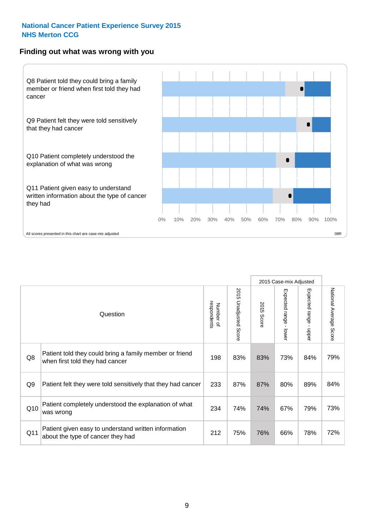#### **Finding out what was wrong with you**



|     |                                                                                            |                          |                       |               | 2015 Case-mix Adjusted  |                                         |                        |
|-----|--------------------------------------------------------------------------------------------|--------------------------|-----------------------|---------------|-------------------------|-----------------------------------------|------------------------|
|     | Question                                                                                   | respondents<br>Number of | 2015 Unadjusted Score | 2015<br>Score | Expected range<br>iower | Expected range<br>$\mathbf{I}$<br>nbber | National Average Score |
| Q8  | Patient told they could bring a family member or friend<br>when first told they had cancer | 198                      | 83%                   | 83%           | 73%                     | 84%                                     | 79%                    |
| Q9  | Patient felt they were told sensitively that they had cancer                               | 233                      | 87%                   | 87%           | 80%                     | 89%                                     | 84%                    |
| Q10 | Patient completely understood the explanation of what<br>was wrong                         | 234                      | 74%                   | 74%           | 67%                     | 79%                                     | 73%                    |
| Q11 | Patient given easy to understand written information<br>about the type of cancer they had  | 212                      | 75%                   | 76%           | 66%                     | 78%                                     | 72%                    |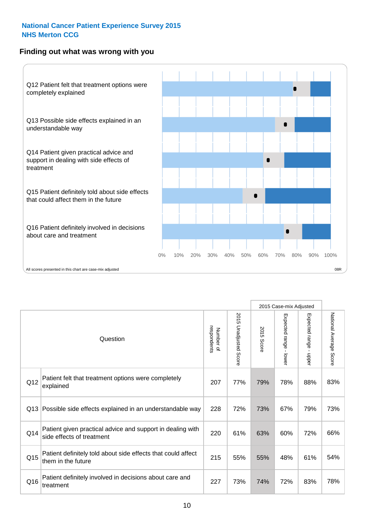#### **Finding out what was wrong with you**



|     |                                                                                         |                          |                       |               | 2015 Case-mix Adjusted                  |                           |                        |
|-----|-----------------------------------------------------------------------------------------|--------------------------|-----------------------|---------------|-----------------------------------------|---------------------------|------------------------|
|     | Question                                                                                | respondents<br>Number of | 2015 Unadjusted Score | 2015<br>Score | Expected range<br>$\mathbf{r}$<br>lower | Expected range -<br>nbber | National Average Score |
| Q12 | Patient felt that treatment options were completely<br>explained                        | 207                      | 77%                   | 79%           | 78%                                     | 88%                       | 83%                    |
| Q13 | Possible side effects explained in an understandable way                                | 228                      | 72%                   | 73%           | 67%                                     | 79%                       | 73%                    |
| Q14 | Patient given practical advice and support in dealing with<br>side effects of treatment | 220                      | 61%                   | 63%           | 60%                                     | 72%                       | 66%                    |
| Q15 | Patient definitely told about side effects that could affect<br>them in the future      | 215                      | 55%                   | 55%           | 48%                                     | 61%                       | 54%                    |
| Q16 | Patient definitely involved in decisions about care and<br>treatment                    | 227                      | 73%                   | 74%           | 72%                                     | 83%                       | 78%                    |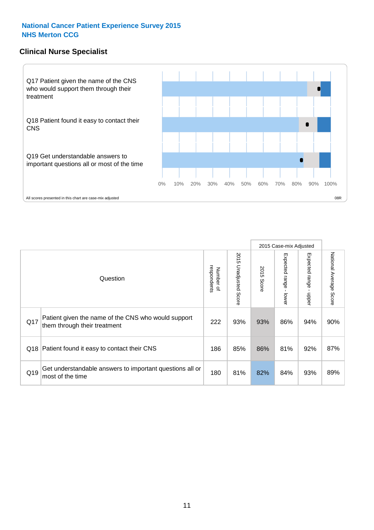#### **Clinical Nurse Specialist**



|     |                                                                                     |                          |                       |               | 2015 Case-mix Adjusted  |                         |                        |
|-----|-------------------------------------------------------------------------------------|--------------------------|-----------------------|---------------|-------------------------|-------------------------|------------------------|
|     | Question                                                                            | respondents<br>Number of | 2015 Unadjusted Score | 2015<br>Score | Expected range<br>lower | Expected range<br>nbber | National Average Score |
| Q17 | Patient given the name of the CNS who would support<br>them through their treatment | 222                      | 93%                   | 93%           | 86%                     | 94%                     | 90%                    |
|     | Q18 Patient found it easy to contact their CNS                                      | 186                      | 85%                   | 86%           | 81%                     | 92%                     | 87%                    |
| Q19 | Get understandable answers to important questions all or<br>most of the time        | 180                      | 81%                   | 82%           | 84%                     | 93%                     | 89%                    |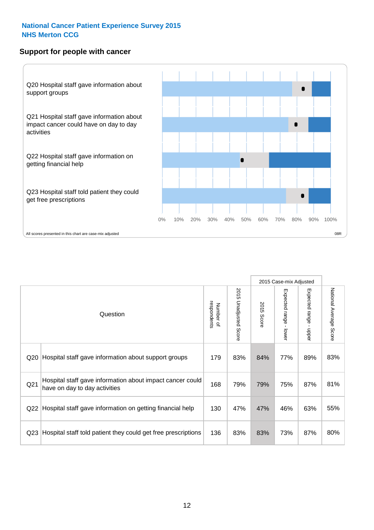#### **Support for people with cancer**



|                 |                                                                                            |                          |                             |               | 2015 Case-mix Adjusted                  |                                           |                        |
|-----------------|--------------------------------------------------------------------------------------------|--------------------------|-----------------------------|---------------|-----------------------------------------|-------------------------------------------|------------------------|
|                 | Question                                                                                   | respondents<br>Number of | 2015<br>Unadjusted<br>Score | 2015<br>Score | Expected range<br>$\mathbf{r}$<br>lower | Expected range<br>$\blacksquare$<br>nbber | National Average Score |
| Q <sub>20</sub> | Hospital staff gave information about support groups                                       | 179                      | 83%                         | 84%           | 77%                                     | 89%                                       | 83%                    |
| Q <sub>21</sub> | Hospital staff gave information about impact cancer could<br>have on day to day activities | 168                      | 79%                         | 79%           | 75%                                     | 87%                                       | 81%                    |
| Q <sub>22</sub> | Hospital staff gave information on getting financial help                                  | 130                      | 47%                         | 47%           | 46%                                     | 63%                                       | 55%                    |
| Q <sub>23</sub> | Hospital staff told patient they could get free prescriptions                              | 136                      | 83%                         | 83%           | 73%                                     | 87%                                       | 80%                    |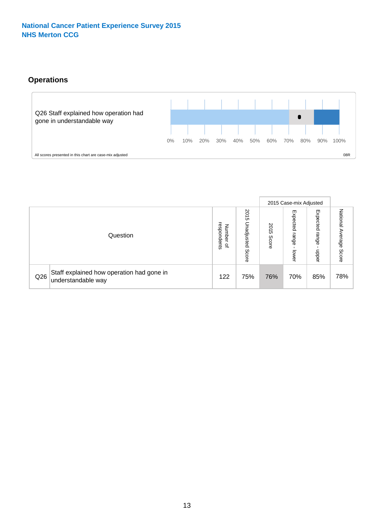#### **Operations**



|     |                                                                 |                                              |                             |               | 2015 Case-mix Adjusted     |                           |                              |
|-----|-----------------------------------------------------------------|----------------------------------------------|-----------------------------|---------------|----------------------------|---------------------------|------------------------------|
|     | Question                                                        | respondents<br>Number<br>$\overline{\sigma}$ | 2015<br>Unadjusted<br>Score | 2015<br>Score | Expected<br>range<br>lower | Expected<br>range<br>dddn | National<br>Average<br>Score |
| Q26 | Staff explained how operation had gone in<br>understandable way | 122                                          | 75%                         | 76%           | 70%                        | 85%                       | 78%                          |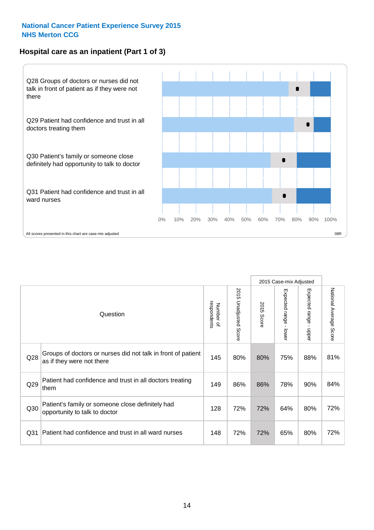#### **Hospital care as an inpatient (Part 1 of 3)**



All scores presented in this chart are case-mix adjusted (38R) and the extent of the second scores presented in this chart are case-mix adjusted (38R) and the scores presented in this chart are case-mix adjusted

|                 |                                                                                           |                          |                                 |               | 2015 Case-mix Adjusted                  |                           |                        |
|-----------------|-------------------------------------------------------------------------------------------|--------------------------|---------------------------------|---------------|-----------------------------------------|---------------------------|------------------------|
|                 | Question                                                                                  | respondents<br>Number of | 2015<br><b>Unadjusted Score</b> | 2015<br>Score | Expected range<br>$\mathbf{I}$<br>lower | Expected range<br>- nbbeu | National Average Score |
| Q28             | Groups of doctors or nurses did not talk in front of patient<br>as if they were not there | 145                      | 80%                             | 80%           | 75%                                     | 88%                       | 81%                    |
| Q29             | Patient had confidence and trust in all doctors treating<br>them                          | 149                      | 86%                             | 86%           | 78%                                     | 90%                       | 84%                    |
| Q30             | Patient's family or someone close definitely had<br>opportunity to talk to doctor         | 128                      | 72%                             | 72%           | 64%                                     | 80%                       | 72%                    |
| Q <sub>31</sub> | Patient had confidence and trust in all ward nurses                                       | 148                      | 72%                             | 72%           | 65%                                     | 80%                       | 72%                    |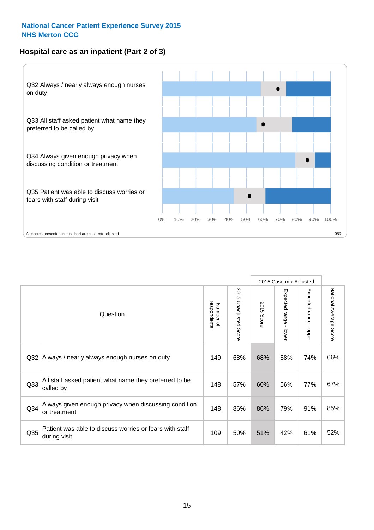#### **Hospital care as an inpatient (Part 2 of 3)**



|                 |                                                                         |                          |                                 |               | 2015 Case-mix Adjusted |                                         |                           |
|-----------------|-------------------------------------------------------------------------|--------------------------|---------------------------------|---------------|------------------------|-----------------------------------------|---------------------------|
|                 | Question                                                                | respondents<br>Number of | 2015<br><b>Unadjusted Score</b> | 2015<br>Score | Expected range - lower | Expected range<br>$\mathbf{r}$<br>hbber | National Average<br>Score |
| Q32             | Always / nearly always enough nurses on duty                            | 149                      | 68%                             | 68%           | 58%                    | 74%                                     | 66%                       |
| Q <sub>33</sub> | All staff asked patient what name they preferred to be<br>called by     | 148                      | 57%                             | 60%           | 56%                    | 77%                                     | 67%                       |
| Q34             | Always given enough privacy when discussing condition<br>or treatment   | 148                      | 86%                             | 86%           | 79%                    | 91%                                     | 85%                       |
| Q <sub>35</sub> | Patient was able to discuss worries or fears with staff<br>during visit | 109                      | 50%                             | 51%           | 42%                    | 61%                                     | 52%                       |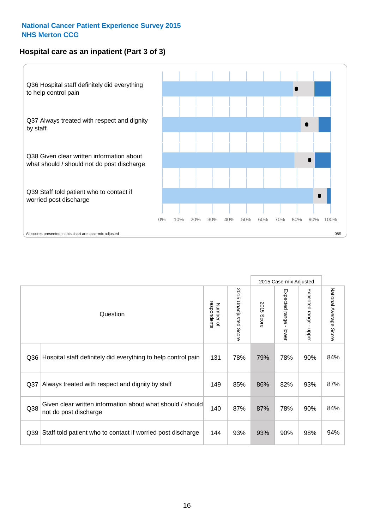#### **Hospital care as an inpatient (Part 3 of 3)**



|                 |                                                                                     |                          |                             |                      | 2015 Case-mix Adjusted                    |                           |                        |
|-----------------|-------------------------------------------------------------------------------------|--------------------------|-----------------------------|----------------------|-------------------------------------------|---------------------------|------------------------|
|                 | Question                                                                            | respondents<br>Number of | 2015<br>Unadjusted<br>Score | 2015<br><b>Score</b> | Expected range<br>$\blacksquare$<br>lower | Expected range -<br>nbber | National Average Score |
| Q36             | Hospital staff definitely did everything to help control pain                       | 131                      | 78%                         | 79%                  | 78%                                       | 90%                       | 84%                    |
| Q <sub>37</sub> | Always treated with respect and dignity by staff                                    | 149                      | 85%                         | 86%                  | 82%                                       | 93%                       | 87%                    |
| Q38             | Given clear written information about what should / should<br>not do post discharge | 140                      | 87%                         | 87%                  | 78%                                       | 90%                       | 84%                    |
| Q39             | Staff told patient who to contact if worried post discharge                         | 144                      | 93%                         | 93%                  | 90%                                       | 98%                       | 94%                    |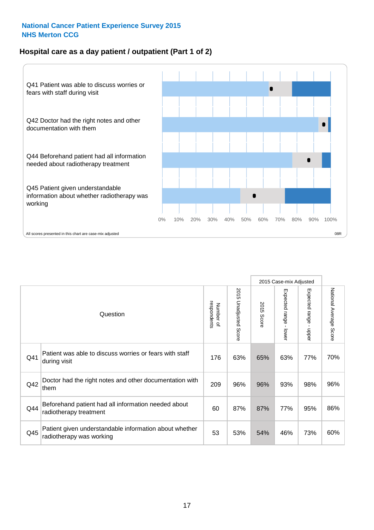#### **Hospital care as a day patient / outpatient (Part 1 of 2)**



|     |                                                                                    |                          |                                 | 2015 Case-mix Adjusted |                                           |                                           |                        |
|-----|------------------------------------------------------------------------------------|--------------------------|---------------------------------|------------------------|-------------------------------------------|-------------------------------------------|------------------------|
|     | Question                                                                           | respondents<br>Number of | 2015<br><b>Unadjusted Score</b> | 2015<br><b>Score</b>   | Expected range<br>$\blacksquare$<br>lower | Expected range<br>$\blacksquare$<br>nbber | National Average Score |
| Q41 | Patient was able to discuss worries or fears with staff<br>during visit            | 176                      | 63%                             | 65%                    | 63%                                       | 77%                                       | 70%                    |
| Q42 | Doctor had the right notes and other documentation with<br>them                    | 209                      | 96%                             | 96%                    | 93%                                       | 98%                                       | 96%                    |
| Q44 | Beforehand patient had all information needed about<br>radiotherapy treatment      | 60                       | 87%                             | 87%                    | 77%                                       | 95%                                       | 86%                    |
| Q45 | Patient given understandable information about whether<br>radiotherapy was working | 53                       | 53%                             | 54%                    | 46%                                       | 73%                                       | 60%                    |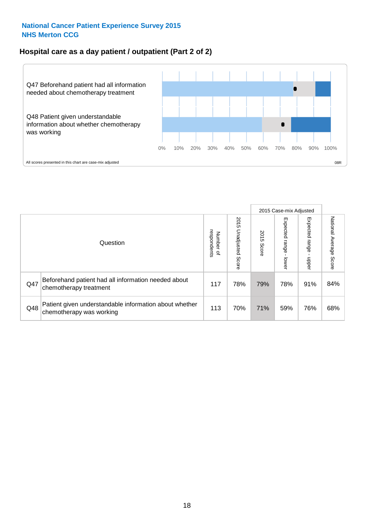#### **Hospital care as a day patient / outpatient (Part 2 of 2)**



|     |                                                                                    |                                       |                             | 2015 Case-mix Adjusted |                              |                         |                           |
|-----|------------------------------------------------------------------------------------|---------------------------------------|-----------------------------|------------------------|------------------------------|-------------------------|---------------------------|
|     | Question                                                                           | respondents<br>Number<br>$\mathbf{Q}$ | 2015<br>Unadjusted<br>Score | 2015<br>Score          | Expected<br>I range<br>lower | Expected range<br>nbber | National Average<br>Score |
| Q47 | Beforehand patient had all information needed about<br>chemotherapy treatment      | 117                                   | 78%                         | 79%                    | 78%                          | 91%                     | 84%                       |
| Q48 | Patient given understandable information about whether<br>chemotherapy was working | 113                                   | 70%                         | 71%                    | 59%                          | 76%                     | 68%                       |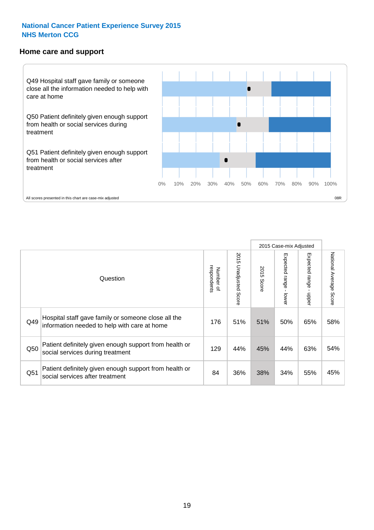#### **Home care and support**



All scores presented in this chart are case-mix adjusted

|                 |                                                                                                     |                          |                          | 2015 Case-mix Adjusted |                              |                         |                                  |
|-----------------|-----------------------------------------------------------------------------------------------------|--------------------------|--------------------------|------------------------|------------------------------|-------------------------|----------------------------------|
|                 | Question                                                                                            | respondents<br>Number of | 2015<br>Unadjusted Score | 2015<br>Score          | Expected<br>I range<br>lower | Expected range<br>nbber | National Average<br><b>Score</b> |
| Q49             | Hospital staff gave family or someone close all the<br>information needed to help with care at home | 176                      | 51%                      | 51%                    | 50%                          | 65%                     | 58%                              |
| Q50             | Patient definitely given enough support from health or<br>social services during treatment          | 129                      | 44%                      | 45%                    | 44%                          | 63%                     | 54%                              |
| Q <sub>51</sub> | Patient definitely given enough support from health or<br>social services after treatment           | 84                       | 36%                      | 38%                    | 34%                          | 55%                     | 45%                              |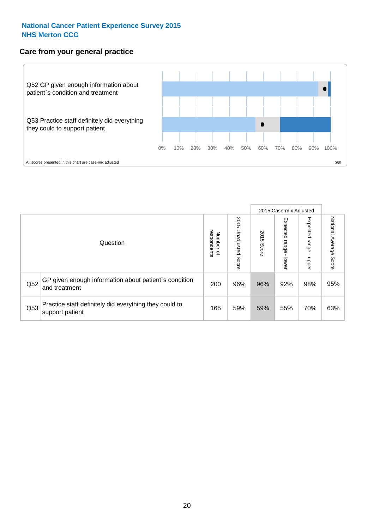#### **Care from your general practice**



|     |                                                                           |                                              |                             | 2015 Case-mix Adjusted |                                    |                              |                           |
|-----|---------------------------------------------------------------------------|----------------------------------------------|-----------------------------|------------------------|------------------------------------|------------------------------|---------------------------|
|     | Question                                                                  | respondents<br>Number<br>$\overline{\sigma}$ | 2015<br>Unadjusted<br>Score | 2015<br>Score          | Expected<br><b>Irange</b><br>lower | Expected<br>  range<br>doper | National Average<br>Score |
| Q52 | GP given enough information about patient's condition<br>and treatment    | 200                                          | 96%                         | 96%                    | 92%                                | 98%                          | 95%                       |
| Q53 | Practice staff definitely did everything they could to<br>support patient | 165                                          | 59%                         | 59%                    | 55%                                | 70%                          | 63%                       |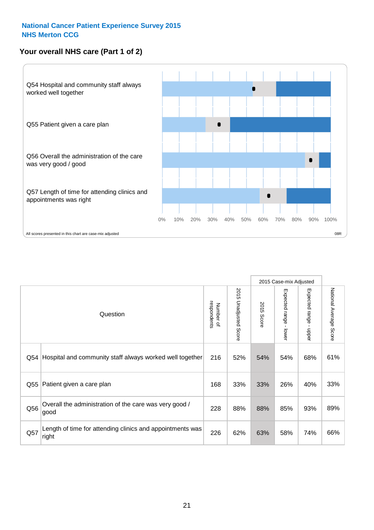#### **Your overall NHS care (Part 1 of 2)**



|     |                                                                    |                          |                          | 2015 Case-mix Adjusted |                                           |                                           |                        |
|-----|--------------------------------------------------------------------|--------------------------|--------------------------|------------------------|-------------------------------------------|-------------------------------------------|------------------------|
|     | Question                                                           | respondents<br>Number of | 2015<br>Unadjusted Score | 2015<br><b>Score</b>   | Expected range<br>$\blacksquare$<br>lower | Expected range<br>$\blacksquare$<br>nbber | National Average Score |
| Q54 | Hospital and community staff always worked well together           | 216                      | 52%                      | 54%                    | 54%                                       | 68%                                       | 61%                    |
| Q55 | Patient given a care plan                                          | 168                      | 33%                      | 33%                    | 26%                                       | 40%                                       | 33%                    |
| Q56 | Overall the administration of the care was very good /<br>good     | 228                      | 88%                      | 88%                    | 85%                                       | 93%                                       | 89%                    |
| Q57 | Length of time for attending clinics and appointments was<br>right | 226                      | 62%                      | 63%                    | 58%                                       | 74%                                       | 66%                    |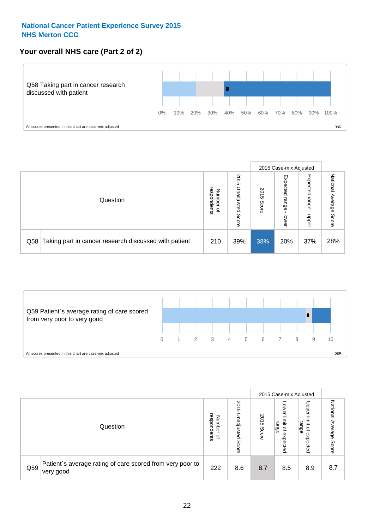#### **Your overall NHS care (Part 2 of 2)**



|     |                                                       |                                         |                             | 2015 Case-mix Adjusted |                            |                            |                        |
|-----|-------------------------------------------------------|-----------------------------------------|-----------------------------|------------------------|----------------------------|----------------------------|------------------------|
|     | Question                                              | respondents<br>Number<br>$\overline{a}$ | 2015<br>Jnadjusted<br>Score | 2015<br>Score          | Expected<br>range<br>lower | Expected<br>range<br>doper | National Average Score |
| Q58 | Taking part in cancer research discussed with patient | 210                                     | 39%                         | 38%                    | 20%                        | 37%                        | 28%                    |



|     |                                                                        |                                              |                             |               | 2015 Case-mix Adjusted                                    |                                          |                              |
|-----|------------------------------------------------------------------------|----------------------------------------------|-----------------------------|---------------|-----------------------------------------------------------|------------------------------------------|------------------------------|
|     | Question                                                               | respondents<br>Number<br>$\overline{\sigma}$ | 2015<br>Inadjusted<br>Score | 2015<br>Score | OWer<br>limit<br>range<br>$\overline{\sigma}$<br>expected | Upper<br>limit<br>range<br>õ<br>expected | National<br>Average<br>Score |
| Q59 | Patient's average rating of care scored from very poor to<br>very good | 222                                          | 8.6                         | 8.7           | 8.5                                                       | 8.9                                      | 8.7                          |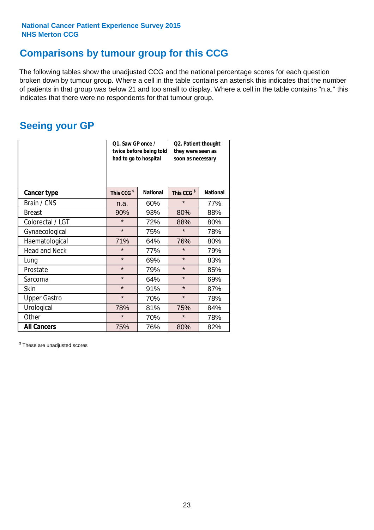### **Comparisons by tumour group for this CCG**

The following tables show the unadjusted CCG and the national percentage scores for each question broken down by tumour group. Where a cell in the table contains an asterisk this indicates that the number of patients in that group was below 21 and too small to display. Where a cell in the table contains "n.a." this indicates that there were no respondents for that tumour group.

### **Seeing your GP**

|                      | Q1. Saw GP once /<br>had to go to hospital | twice before being told | Q2. Patient thought<br>they were seen as<br>soon as necessary |                 |  |
|----------------------|--------------------------------------------|-------------------------|---------------------------------------------------------------|-----------------|--|
| <b>Cancer type</b>   | This CCG <sup>\$</sup>                     | <b>National</b>         | This CCG <sup>\$</sup>                                        | <b>National</b> |  |
| Brain / CNS          | n.a.                                       | 60%                     | $\star$                                                       | 77%             |  |
| <b>Breast</b>        | 90%                                        | 93%                     | 80%                                                           | 88%             |  |
| Colorectal / LGT     | $\star$                                    | 72%                     | 88%                                                           | 80%             |  |
| Gynaecological       | $\star$                                    | 75%                     | $\star$                                                       | 78%             |  |
| Haematological       | 71%                                        | 64%                     | 76%                                                           | 80%             |  |
| <b>Head and Neck</b> | $\star$                                    | 77%                     | $\star$                                                       | 79%             |  |
| Lung                 | $\star$                                    | 69%                     | $\star$                                                       | 83%             |  |
| Prostate             | $\star$                                    | 79%                     | $\star$                                                       | 85%             |  |
| Sarcoma              | $\star$                                    | 64%                     | $\star$                                                       | 69%             |  |
| Skin                 | $\star$                                    | 91%                     | $\star$                                                       | 87%             |  |
| <b>Upper Gastro</b>  | $\star$                                    | 70%                     | $\star$                                                       | 78%             |  |
| Urological           | 78%                                        | 81%                     | 75%                                                           | 84%             |  |
| Other                | $\star$                                    | 70%                     | $\star$                                                       | 78%             |  |
| <b>All Cancers</b>   | 75%                                        | 76%                     | 80%                                                           | 82%             |  |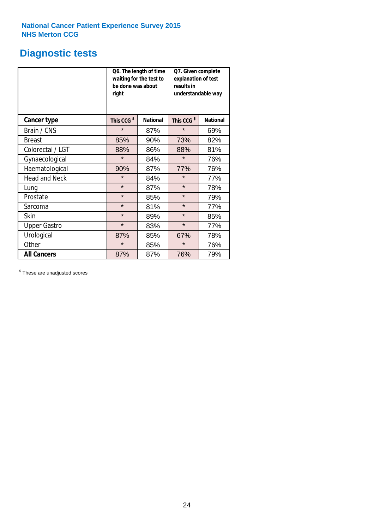## **Diagnostic tests**

|                      | be done was about<br>right | Q6. The length of time<br>waiting for the test to | Q7. Given complete<br>explanation of test<br>results in<br>understandable way |                 |  |
|----------------------|----------------------------|---------------------------------------------------|-------------------------------------------------------------------------------|-----------------|--|
| <b>Cancer type</b>   | This CCG <sup>\$</sup>     | <b>National</b>                                   | This CCG <sup>\$</sup>                                                        | <b>National</b> |  |
| Brain / CNS          | $\star$                    | 87%                                               | $\star$                                                                       | 69%             |  |
| <b>Breast</b>        | 85%                        | 90%                                               | 73%                                                                           | 82%             |  |
| Colorectal / LGT     | 88%                        | 86%                                               | 88%                                                                           | 81%             |  |
| Gynaecological       | $\star$                    | 84%                                               | $\star$                                                                       | 76%             |  |
| Haematological       | 90%                        | 87%                                               | 77%                                                                           | 76%             |  |
| <b>Head and Neck</b> | $\star$                    | 84%                                               | $\star$                                                                       | 77%             |  |
| Lung                 | $\star$                    | 87%                                               | $\star$                                                                       | 78%             |  |
| Prostate             | $\star$                    | 85%                                               | $\star$                                                                       | 79%             |  |
| Sarcoma              | $\star$                    | 81%                                               | $\star$                                                                       | 77%             |  |
| Skin                 | $\star$                    | 89%                                               | $\star$                                                                       | 85%             |  |
| <b>Upper Gastro</b>  | $\star$                    | 83%                                               | $\star$                                                                       | 77%             |  |
| Urological           | 87%                        | 85%                                               | 67%                                                                           | 78%             |  |
| Other                | $\star$<br>85%             |                                                   | $\star$                                                                       | 76%             |  |
| <b>All Cancers</b>   | 87%                        | 87%                                               | 76%                                                                           | 79%             |  |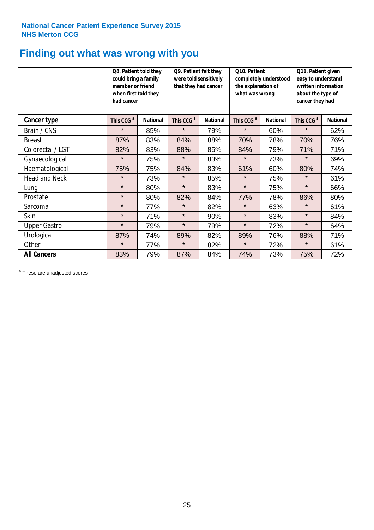## **Finding out what was wrong with you**

|                      | Q8. Patient told they<br>could bring a family<br>member or friend<br>when first told they<br>had cancer |                 | Q9. Patient felt they<br>were told sensitively<br>that they had cancer |                 | Q10. Patient<br>completely understood<br>the explanation of<br>what was wrong |                 | Q11. Patient given<br>easy to understand<br>written information<br>about the type of<br>cancer they had |                 |
|----------------------|---------------------------------------------------------------------------------------------------------|-----------------|------------------------------------------------------------------------|-----------------|-------------------------------------------------------------------------------|-----------------|---------------------------------------------------------------------------------------------------------|-----------------|
| <b>Cancer type</b>   | This CCG <sup>\$</sup>                                                                                  | <b>National</b> | This CCG <sup>\$</sup>                                                 | <b>National</b> | This CCG <sup>\$</sup>                                                        | <b>National</b> | This CCG <sup>\$</sup>                                                                                  | <b>National</b> |
| Brain / CNS          | $\star$                                                                                                 | 85%             | $\star$                                                                | 79%             | $\star$                                                                       | 60%             | $\star$                                                                                                 | 62%             |
| <b>Breast</b>        | 87%                                                                                                     | 83%             | 84%                                                                    | 88%             | 70%                                                                           | 78%             | 70%                                                                                                     | 76%             |
| Colorectal / LGT     | 82%                                                                                                     | 83%             | 88%                                                                    | 85%             | 84%                                                                           | 79%             | 71%                                                                                                     | 71%             |
| Gynaecological       | $\star$                                                                                                 | 75%             | $\star$                                                                | 83%             | $\star$                                                                       | 73%             | $\star$                                                                                                 | 69%             |
| Haematological       | 75%                                                                                                     | 75%             | 84%                                                                    | 83%             | 61%                                                                           | 60%             | 80%                                                                                                     | 74%             |
| <b>Head and Neck</b> | $\star$                                                                                                 | 73%             | $\star$                                                                | 85%             | $\star$                                                                       | 75%             | $\star$                                                                                                 | 61%             |
| Lung                 | $\star$                                                                                                 | 80%             | $\star$                                                                | 83%             | $\star$                                                                       | 75%             | $\star$                                                                                                 | 66%             |
| Prostate             | $\star$                                                                                                 | 80%             | 82%                                                                    | 84%             | 77%                                                                           | 78%             | 86%                                                                                                     | 80%             |
| Sarcoma              | $\star$                                                                                                 | 77%             | $\star$                                                                | 82%             | $\star$                                                                       | 63%             | $\star$                                                                                                 | 61%             |
| Skin                 | $\star$                                                                                                 | 71%             | $\star$                                                                | 90%             | $\star$                                                                       | 83%             | $\star$                                                                                                 | 84%             |
| <b>Upper Gastro</b>  | $\star$                                                                                                 | 79%             | $\star$                                                                | 79%             | $\star$                                                                       | 72%             | $\star$                                                                                                 | 64%             |
| Urological           | 87%                                                                                                     | 74%             | 89%                                                                    | 82%             | 89%                                                                           | 76%             | 88%                                                                                                     | 71%             |
| Other                | $\star$                                                                                                 | 77%             | $\star$                                                                | 82%             | $\star$                                                                       | 72%             | $\star$                                                                                                 | 61%             |
| <b>All Cancers</b>   | 83%                                                                                                     | 79%             | 87%                                                                    | 84%             | 74%                                                                           | 73%             | 75%                                                                                                     | 72%             |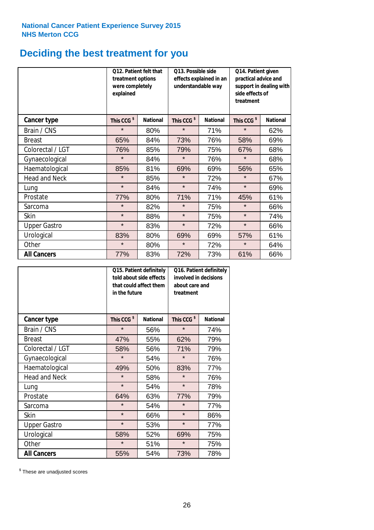# **Deciding the best treatment for you**

|                      | treatment options<br>were completely<br>explained | Q12. Patient felt that | Q13. Possible side<br>understandable way | effects explained in an | Q14. Patient given<br>practical advice and<br>support in dealing with<br>side effects of<br>treatment |                 |  |
|----------------------|---------------------------------------------------|------------------------|------------------------------------------|-------------------------|-------------------------------------------------------------------------------------------------------|-----------------|--|
| Cancer type          | This CCG <sup>\$</sup>                            | <b>National</b>        | This CCG <sup>\$</sup>                   | <b>National</b>         | This CCG <sup>\$</sup>                                                                                | <b>National</b> |  |
| Brain / CNS          | $\star$                                           | 80%                    | $\star$                                  | 71%                     | $\star$                                                                                               | 62%             |  |
| <b>Breast</b>        | 65%                                               | 84%                    | 73%                                      | 76%                     | 58%                                                                                                   | 69%             |  |
| Colorectal / LGT     | 76%                                               | 85%                    | 79%                                      | 75%                     | 67%                                                                                                   | 68%             |  |
| Gynaecological       | $\star$                                           | 84%                    | $\star$                                  | 76%                     | $\star$                                                                                               | 68%             |  |
| Haematological       | 85%                                               | 81%                    | 69%                                      | 69%                     | 56%                                                                                                   | 65%             |  |
| <b>Head and Neck</b> | $\star$                                           | 85%                    | $\star$                                  | 72%                     | $\star$                                                                                               | 67%             |  |
| Lung                 | $\star$                                           | 84%                    | $\star$                                  | 74%                     | $\star$                                                                                               | 69%             |  |
| Prostate             | 77%                                               | 80%                    | 71%                                      | 71%                     | 45%                                                                                                   | 61%             |  |
| Sarcoma              | $\star$                                           | 82%                    | $\star$                                  | 75%                     | $\star$                                                                                               | 66%             |  |
| Skin                 | $\star$                                           | 88%                    | $\star$                                  | 75%                     | $\star$                                                                                               | 74%             |  |
| <b>Upper Gastro</b>  | $\star$                                           | 83%                    | $\star$                                  | 72%                     | $\star$                                                                                               | 66%             |  |
| Urological           | 83%                                               | 80%                    | 69%                                      | 69%                     | 57%                                                                                                   | 61%             |  |
| Other                | $\star$                                           | 80%                    | $\star$                                  | 72%                     | $\star$                                                                                               | 64%             |  |
| <b>All Cancers</b>   | 77%                                               | 83%                    | 72%                                      | 73%                     | 61%                                                                                                   | 66%             |  |

|                      | in the future          | Q15. Patient definitely<br>told about side effects<br>that could affect them | Q16. Patient definitely<br>involved in decisions<br>about care and<br>treatment |                 |  |
|----------------------|------------------------|------------------------------------------------------------------------------|---------------------------------------------------------------------------------|-----------------|--|
| <b>Cancer type</b>   | This CCG <sup>\$</sup> | <b>National</b>                                                              | This CCG <sup>\$</sup>                                                          | <b>National</b> |  |
| Brain / CNS          | $\star$                | 56%                                                                          | $\star$                                                                         | 74%             |  |
| <b>Breast</b>        | 47%                    | 55%                                                                          | 62%                                                                             | 79%             |  |
| Colorectal / LGT     | 58%                    | 56%                                                                          | 71%                                                                             | 79%             |  |
| Gynaecological       | $\star$                | 54%                                                                          |                                                                                 | 76%             |  |
| Haematological       | 49%                    | 50%                                                                          |                                                                                 | 77%             |  |
| <b>Head and Neck</b> | $\star$                | 58%                                                                          | $\star$                                                                         | 76%             |  |
| Lung                 | $\star$                | 54%                                                                          | $\star$                                                                         | 78%             |  |
| Prostate             | 64%                    | 63%                                                                          | 77%                                                                             | 79%             |  |
| Sarcoma              | $\star$                | 54%                                                                          | $\star$                                                                         | 77%             |  |
| <b>Skin</b>          | $\star$                | 66%                                                                          | $\star$                                                                         | 86%             |  |
| <b>Upper Gastro</b>  | $\star$                | 53%                                                                          | $\star$                                                                         | 77%             |  |
| Urological           | 58%                    | 52%                                                                          | 69%                                                                             | 75%             |  |
| Other                | $\star$                | 51%                                                                          | $\star$                                                                         | 75%             |  |
| <b>All Cancers</b>   | 55%                    | 54%                                                                          | 73%                                                                             | 78%             |  |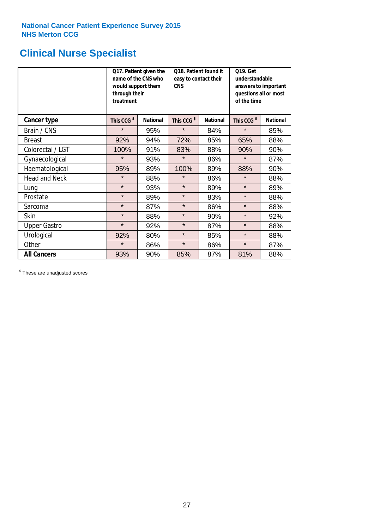# **Clinical Nurse Specialist**

|                      | would support them<br>through their<br>treatment | Q17. Patient given the<br>name of the CNS who | Q18. Patient found it<br>easy to contact their<br><b>CNS</b> |                 | <b>Q19. Get</b><br>understandable<br>answers to important<br>questions all or most<br>of the time |                 |
|----------------------|--------------------------------------------------|-----------------------------------------------|--------------------------------------------------------------|-----------------|---------------------------------------------------------------------------------------------------|-----------------|
| <b>Cancer type</b>   | This CCG <sup>\$</sup>                           | <b>National</b>                               | This CCG <sup>\$</sup>                                       | <b>National</b> | This CCG <sup>\$</sup>                                                                            | <b>National</b> |
| Brain / CNS          | $\star$                                          | 95%                                           | $\star$                                                      | 84%             | $\star$                                                                                           | 85%             |
| <b>Breast</b>        | 92%                                              | 94%                                           | 72%                                                          | 85%             | 65%                                                                                               | 88%             |
| Colorectal / LGT     | 100%                                             | 91%                                           | 83%                                                          | 88%             | 90%                                                                                               | 90%             |
| Gynaecological       | $\star$                                          | 93%                                           | $\star$                                                      | 86%             | $\star$                                                                                           | 87%             |
| Haematological       | 95%                                              | 89%                                           | 100%                                                         | 89%             | 88%                                                                                               | 90%             |
| <b>Head and Neck</b> | $\star$                                          | 88%                                           | $\star$                                                      | 86%             | $\star$                                                                                           | 88%             |
| Lung                 | $\star$                                          | 93%                                           | $\star$                                                      | 89%             | $\star$                                                                                           | 89%             |
| Prostate             | $\star$                                          | 89%                                           | $\star$                                                      | 83%             | $\star$                                                                                           | 88%             |
| Sarcoma              | $\star$                                          | 87%                                           | $\star$                                                      | 86%             | $\star$                                                                                           | 88%             |
| Skin                 | $\star$                                          | 88%                                           | $\star$                                                      | 90%             | $\star$                                                                                           | 92%             |
| <b>Upper Gastro</b>  | $\star$                                          | 92%                                           | $\star$                                                      | 87%             | $\star$                                                                                           | 88%             |
| Urological           | 92%                                              | 80%                                           | $\star$                                                      | 85%             | $\star$                                                                                           | 88%             |
| Other                | $\star$                                          | 86%                                           | $\star$                                                      | 86%             | $\star$                                                                                           | 87%             |
| <b>All Cancers</b>   | 93%                                              | 90%                                           | 85%                                                          | 87%             | 81%                                                                                               | 88%             |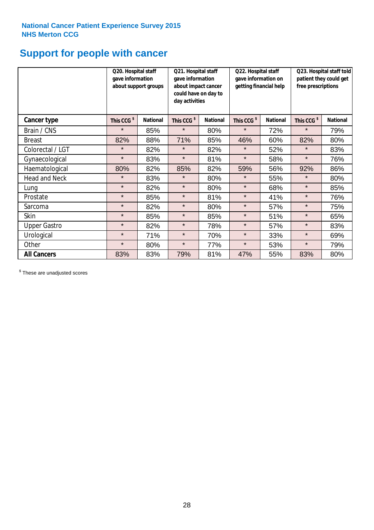# **Support for people with cancer**

|                      |                        | Q20. Hospital staff<br>gave information<br>about support groups<br>day activities |                        | Q21. Hospital staff<br>gave information<br>about impact cancer<br>could have on day to |                        | Q22. Hospital staff<br>gave information on<br>getting financial help |                        | Q23. Hospital staff told<br>patient they could get<br>free prescriptions |  |
|----------------------|------------------------|-----------------------------------------------------------------------------------|------------------------|----------------------------------------------------------------------------------------|------------------------|----------------------------------------------------------------------|------------------------|--------------------------------------------------------------------------|--|
| <b>Cancer type</b>   | This CCG <sup>\$</sup> | <b>National</b>                                                                   | This CCG <sup>\$</sup> | <b>National</b>                                                                        | This CCG <sup>\$</sup> | <b>National</b>                                                      | This CCG <sup>\$</sup> | <b>National</b>                                                          |  |
| Brain / CNS          | $\star$                | 85%                                                                               | $\star$                | 80%                                                                                    | $\star$                | 72%                                                                  | $\star$                | 79%                                                                      |  |
| <b>Breast</b>        | 82%                    | 88%                                                                               | 71%                    | 85%                                                                                    | 46%                    | 60%                                                                  | 82%                    | 80%                                                                      |  |
| Colorectal / LGT     | $\star$                | 82%                                                                               | $\star$                | 82%                                                                                    | $\star$                | 52%                                                                  | $\star$                | 83%                                                                      |  |
| Gynaecological       | $\star$                | 83%                                                                               | $\star$                | 81%                                                                                    | $\star$                | 58%                                                                  | $\star$                | 76%                                                                      |  |
| Haematological       | 80%                    | 82%                                                                               | 85%                    | 82%                                                                                    | 59%                    | 56%                                                                  | 92%                    | 86%                                                                      |  |
| <b>Head and Neck</b> | $\star$                | 83%                                                                               | $\star$                | 80%                                                                                    | $^\star$               | 55%                                                                  | $\star$                | 80%                                                                      |  |
| Lung                 | $\star$                | 82%                                                                               | $\star$                | 80%                                                                                    | $\star$                | 68%                                                                  | $\star$                | 85%                                                                      |  |
| Prostate             | $\star$                | 85%                                                                               | $\star$                | 81%                                                                                    | $\star$                | 41%                                                                  | $\star$                | 76%                                                                      |  |
| Sarcoma              | $\star$                | 82%                                                                               | $\star$                | 80%                                                                                    | $\star$                | 57%                                                                  | $\star$                | 75%                                                                      |  |
| Skin                 | $\star$                | 85%                                                                               | $\star$                | 85%                                                                                    | $\star$                | 51%                                                                  | $\star$                | 65%                                                                      |  |
| <b>Upper Gastro</b>  | $\star$                | 82%                                                                               | $\star$                | 78%                                                                                    | $\star$                | 57%                                                                  | $\star$                | 83%                                                                      |  |
| Urological           | $\star$                | 71%                                                                               | $\star$                | 70%                                                                                    | $\star$                | 33%                                                                  | $\star$                | 69%                                                                      |  |
| Other                | $\star$                | 80%                                                                               | $\star$                | 77%                                                                                    | $\star$                | 53%                                                                  | $\star$                | 79%                                                                      |  |
| <b>All Cancers</b>   | 83%                    | 83%                                                                               | 79%                    | 81%                                                                                    | 47%                    | 55%                                                                  | 83%                    | 80%                                                                      |  |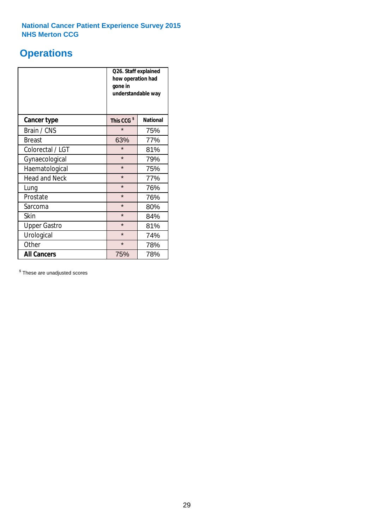### **Operations**

|                      | Q26. Staff explained<br>how operation had<br>gone in<br>understandable way |                 |  |  |
|----------------------|----------------------------------------------------------------------------|-----------------|--|--|
| <b>Cancer type</b>   | This CCG <sup>\$</sup>                                                     | <b>National</b> |  |  |
| Brain / CNS          | $\star$                                                                    | 75%             |  |  |
| <b>Breast</b>        | 63%                                                                        | 77%             |  |  |
| Colorectal / LGT     | $\star$                                                                    | 81%             |  |  |
| Gynaecological       | $\star$                                                                    | 79%             |  |  |
| Haematological       | $\star$                                                                    | 75%             |  |  |
| <b>Head and Neck</b> | $\star$                                                                    | 77%             |  |  |
| Lung                 | $\star$                                                                    | 76%             |  |  |
| Prostate             | $\star$                                                                    | 76%             |  |  |
| Sarcoma              | $\star$                                                                    | 80%             |  |  |
| Skin                 | $\star$                                                                    | 84%             |  |  |
| <b>Upper Gastro</b>  | $\star$                                                                    | 81%             |  |  |
| Urological           | $\star$                                                                    | 74%             |  |  |
| Other                | $\star$<br>78%                                                             |                 |  |  |
| <b>All Cancers</b>   | 75%                                                                        | 78%             |  |  |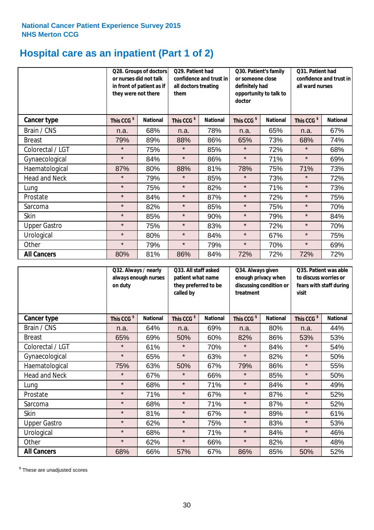# **Hospital care as an inpatient (Part 1 of 2)**

|                      | they were not there    | Q28. Groups of doctors<br>or nurses did not talk<br>in front of patient as if | Q29. Patient had<br>confidence and trust in<br>all doctors treating<br>them |                 | Q30. Patient's family<br>or someone close<br>definitely had<br>opportunity to talk to<br>doctor |                 | Q31. Patient had<br>confidence and trust in I<br>all ward nurses |                 |
|----------------------|------------------------|-------------------------------------------------------------------------------|-----------------------------------------------------------------------------|-----------------|-------------------------------------------------------------------------------------------------|-----------------|------------------------------------------------------------------|-----------------|
| Cancer type          | This CCG <sup>\$</sup> | <b>National</b>                                                               | This CCG <sup>\$</sup>                                                      | <b>National</b> | This CCG <sup>\$</sup>                                                                          | <b>National</b> | This CCG <sup>\$</sup>                                           | <b>National</b> |
| Brain / CNS          | n.a.                   | 68%                                                                           | n.a.                                                                        | 78%             | n.a.                                                                                            | 65%             | n.a.                                                             | 67%             |
| <b>Breast</b>        | 79%                    | 89%                                                                           | 88%                                                                         | 86%             | 65%                                                                                             | 73%             | 68%                                                              | 74%             |
| Colorectal / LGT     | $\star$                | 75%                                                                           | $\star$                                                                     | 85%             | $\star$                                                                                         | 72%             | $\star$                                                          | 68%             |
| Gynaecological       | $\star$                | 84%                                                                           | $\star$                                                                     | 86%             | $\star$                                                                                         | 71%             | $\star$                                                          | 69%             |
| Haematological       | 87%                    | 80%                                                                           | 88%                                                                         | 81%             | 78%                                                                                             | 75%             | 71%                                                              | 73%             |
| <b>Head and Neck</b> | $\star$                | 79%                                                                           | $\star$                                                                     | 85%             | $\star$                                                                                         | 73%             | $\star$                                                          | 72%             |
| Lung                 | $\star$                | 75%                                                                           | $\star$                                                                     | 82%             | $\star$                                                                                         | 71%             | $\star$                                                          | 73%             |
| Prostate             | $\star$                | 84%                                                                           | $\star$                                                                     | 87%             | $\star$                                                                                         | 72%             | $\star$                                                          | 75%             |
| Sarcoma              | $\star$                | 82%                                                                           | $\star$                                                                     | 85%             | $\star$                                                                                         | 75%             | $\star$                                                          | 70%             |
| Skin                 | $\star$                | 85%                                                                           | $\star$                                                                     | 90%             | $\star$                                                                                         | 79%             | $\star$                                                          | 84%             |
| <b>Upper Gastro</b>  | $\star$                | 75%                                                                           | $\star$                                                                     | 83%             | $\star$                                                                                         | 72%             | $\star$                                                          | 70%             |
| Urological           | $\star$                | 80%                                                                           | $\star$                                                                     | 84%             | $\star$                                                                                         | 67%             | $\star$                                                          | 75%             |
| Other                | $\star$                | 79%                                                                           | $\star$                                                                     | 79%             | $\star$                                                                                         | 70%             | $\star$                                                          | 69%             |
| <b>All Cancers</b>   | 80%                    | 81%                                                                           | 86%                                                                         | 84%             | 72%                                                                                             | 72%             | 72%                                                              | 72%             |

|                      | on duty                | Q32. Always / nearly<br>Q33. All staff asked<br>always enough nurses<br>patient what name<br>they preferred to be<br>called by |                        | Q34. Always given<br>treatment | enough privacy when<br>discussing condition or | Q35. Patient was able<br>to discuss worries or<br>fears with staff during<br>visit |                        |                 |
|----------------------|------------------------|--------------------------------------------------------------------------------------------------------------------------------|------------------------|--------------------------------|------------------------------------------------|------------------------------------------------------------------------------------|------------------------|-----------------|
| <b>Cancer type</b>   | This CCG <sup>\$</sup> | <b>National</b>                                                                                                                | This CCG <sup>\$</sup> | <b>National</b>                | This CCG <sup>\$</sup>                         | <b>National</b>                                                                    | This CCG <sup>\$</sup> | <b>National</b> |
| Brain / CNS          | n.a.                   | 64%                                                                                                                            | n.a.                   | 69%                            | n.a.                                           | 80%                                                                                | n.a.                   | 44%             |
| <b>Breast</b>        | 65%                    | 69%                                                                                                                            | 50%                    | 60%                            | 82%                                            | 86%                                                                                | 53%                    | 53%             |
| Colorectal / LGT     | $\star$                | 61%                                                                                                                            | $\star$                | 70%                            | $\star$                                        | 84%                                                                                | $\star$                | 54%             |
| Gynaecological       | $\star$                | 65%                                                                                                                            | $\star$                | 63%                            | $\star$                                        | 82%                                                                                | $\star$                | 50%             |
| Haematological       | 75%                    | 63%                                                                                                                            | 50%                    | 67%                            | 79%                                            | 86%                                                                                | $\star$                | 55%             |
| <b>Head and Neck</b> | $\star$                | 67%                                                                                                                            | $\star$                | 66%                            | $\star$                                        | 85%                                                                                | $\star$                | 50%             |
| Lung                 | $\star$                | 68%                                                                                                                            | $\star$                | 71%                            | $\star$                                        | 84%                                                                                | $\star$                | 49%             |
| Prostate             | $\star$                | 71%                                                                                                                            | $\star$                | 67%                            | $\star$                                        | 87%                                                                                | $\star$                | 52%             |
| Sarcoma              | $\star$                | 68%                                                                                                                            | $\star$                | 71%                            | $\star$                                        | 87%                                                                                | $\star$                | 52%             |
| Skin                 | $\star$                | 81%                                                                                                                            | $\star$                | 67%                            | $\star$                                        | 89%                                                                                | $\star$                | 61%             |
| <b>Upper Gastro</b>  | $\star$                | 62%                                                                                                                            | $\star$                | 75%                            | $\star$                                        | 83%                                                                                | $\star$                | 53%             |
| Urological           | $\star$                | 68%                                                                                                                            | $\star$                | 71%                            | $\star$                                        | 84%                                                                                | $\star$                | 46%             |
| Other                | $\star$                | 62%                                                                                                                            | $\star$                | 66%                            | $\star$                                        | 82%                                                                                | $\star$                | 48%             |
| <b>All Cancers</b>   | 68%                    | 66%                                                                                                                            | 57%                    | 67%                            | 86%                                            | 85%                                                                                | 50%                    | 52%             |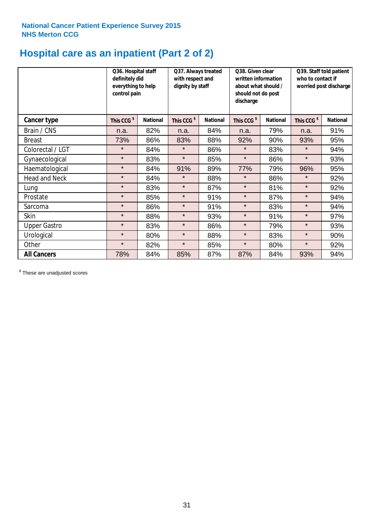# **Hospital care as an inpatient (Part 2 of 2)**

|                      | Q36. Hospital staff<br>definitely did<br>everything to help<br>control pain |                 | Q37. Always treated<br>with respect and<br>dignity by staff |                 | Q38. Given clear<br>written information<br>about what should /<br>should not do post<br>discharge |                 | Q39. Staff told patient<br>who to contact if<br>worried post discharge |                 |  |
|----------------------|-----------------------------------------------------------------------------|-----------------|-------------------------------------------------------------|-----------------|---------------------------------------------------------------------------------------------------|-----------------|------------------------------------------------------------------------|-----------------|--|
| Cancer type          | This CCG <sup>\$</sup>                                                      | <b>National</b> | This CCG <sup>\$</sup>                                      | <b>National</b> | This CCG <sup>\$</sup>                                                                            | <b>National</b> | This CCG <sup>\$</sup>                                                 | <b>National</b> |  |
| Brain / CNS          | n.a.                                                                        | 82%             | n.a.                                                        | 84%             | n.a.                                                                                              | 79%             | n.a.                                                                   | 91%             |  |
| <b>Breast</b>        | 73%                                                                         | 86%             | 83%                                                         | 88%             | 92%                                                                                               | 90%             | 93%                                                                    | 95%             |  |
| Colorectal / LGT     | $\star$                                                                     | 84%             | $\star$                                                     | 86%             | $\star$                                                                                           | 83%             | $\star$                                                                | 94%             |  |
| Gynaecological       | $\star$                                                                     | 83%             | $\star$                                                     | 85%             | $\star$                                                                                           | 86%             | $\star$                                                                | 93%             |  |
| Haematological       | $\star$                                                                     | 84%             | 91%                                                         | 89%             | 77%                                                                                               | 79%             | 96%                                                                    | 95%             |  |
| <b>Head and Neck</b> | $\star$                                                                     | 84%             | $\star$                                                     | 88%             | $\star$                                                                                           | 86%             | $\star$                                                                | 92%             |  |
| Lung                 | $\star$                                                                     | 83%             | $\star$                                                     | 87%             | $\star$                                                                                           | 81%             | $\star$                                                                | 92%             |  |
| Prostate             | $\star$                                                                     | 85%             | $\star$                                                     | 91%             | $\star$                                                                                           | 87%             | $\star$                                                                | 94%             |  |
| Sarcoma              | $\star$                                                                     | 86%             | $\star$                                                     | 91%             | $\star$                                                                                           | 83%             | $\star$                                                                | 94%             |  |
| Skin                 | $\star$                                                                     | 88%             | $\star$                                                     | 93%             | $\star$                                                                                           | 91%             | $\star$                                                                | 97%             |  |
| <b>Upper Gastro</b>  | $\star$                                                                     | 83%             | $\star$                                                     | 86%             | $\star$                                                                                           | 79%             | $\star$                                                                | 93%             |  |
| Urological           | $\star$                                                                     | 80%             | $\star$                                                     | 88%             | $\star$                                                                                           | 83%             | $\star$                                                                | 90%             |  |
| Other                | $\star$                                                                     | 82%             | $\star$                                                     | 85%             | $\star$                                                                                           | 80%             | $\star$                                                                | 92%             |  |
| <b>All Cancers</b>   | 78%                                                                         | 84%             | 85%                                                         | 87%             | 87%                                                                                               | 84%             | 93%                                                                    | 94%             |  |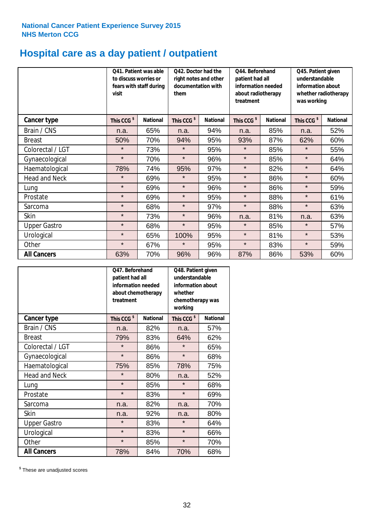# **Hospital care as a day patient / outpatient**

|                      | to discuss worries or<br>visit | Q41. Patient was able<br>fears with staff during | Q42. Doctor had the<br>right notes and other<br>documentation with<br>them |                 | Q44. Beforehand<br>patient had all<br>information needed<br>about radiotherapy<br>treatment |                 | Q45. Patient given<br>understandable<br>information about<br>whether radiotherapy<br>was working |                 |
|----------------------|--------------------------------|--------------------------------------------------|----------------------------------------------------------------------------|-----------------|---------------------------------------------------------------------------------------------|-----------------|--------------------------------------------------------------------------------------------------|-----------------|
| <b>Cancer type</b>   | This CCG <sup>\$</sup>         | <b>National</b>                                  | This CCG <sup>\$</sup>                                                     | <b>National</b> | This CCG <sup>\$</sup>                                                                      | <b>National</b> | This CCG <sup>\$</sup>                                                                           | <b>National</b> |
| Brain / CNS          | n.a.                           | 65%                                              | n.a.                                                                       | 94%             | n.a.                                                                                        | 85%             | n.a.                                                                                             | 52%             |
| <b>Breast</b>        | 50%                            | 70%                                              | 94%                                                                        | 95%             | 93%                                                                                         | 87%             | 62%                                                                                              | 60%             |
| Colorectal / LGT     | $\star$                        | 73%                                              | $\star$                                                                    | 95%             | $\star$                                                                                     | 85%             | $\star$                                                                                          | 55%             |
| Gynaecological       | $\star$                        | 70%                                              | $\star$                                                                    | 96%             | $\star$                                                                                     | 85%             | $\star$                                                                                          | 64%             |
| Haematological       | 78%                            | 74%                                              | 95%                                                                        | 97%             | $\star$                                                                                     | 82%             | $\star$                                                                                          | 64%             |
| <b>Head and Neck</b> | $\star$                        | 69%                                              | $\star$                                                                    | 95%             | $\star$                                                                                     | 86%             | $\star$                                                                                          | 60%             |
| Lung                 | $\star$                        | 69%                                              | $\star$                                                                    | 96%             | $\star$                                                                                     | 86%             | $\star$                                                                                          | 59%             |
| Prostate             | $\star$                        | 69%                                              | $\star$                                                                    | 95%             | $\star$                                                                                     | 88%             | $\star$                                                                                          | 61%             |
| Sarcoma              | $\star$                        | 68%                                              | $\star$                                                                    | 97%             | $\star$                                                                                     | 88%             | $\star$                                                                                          | 63%             |
| Skin                 | $\star$                        | 73%                                              | $\star$                                                                    | 96%             | n.a.                                                                                        | 81%             | n.a.                                                                                             | 63%             |
| <b>Upper Gastro</b>  | $\star$                        | 68%                                              | $\star$                                                                    | 95%             | $\star$                                                                                     | 85%             | $\star$                                                                                          | 57%             |
| Urological           | $\star$                        | 65%                                              | 100%                                                                       | 95%             | $\star$                                                                                     | 81%             | $\star$                                                                                          | 53%             |
| Other                | $\star$                        | 67%                                              | $\star$                                                                    | 95%             | $\star$                                                                                     | 83%             | $\star$                                                                                          | 59%             |
| <b>All Cancers</b>   | 63%                            | 70%                                              | 96%                                                                        | 96%             | 87%                                                                                         | 86%             | 53%                                                                                              | 60%             |

|                      | Q47. Beforehand<br>patient had all<br>information needed<br>treatment | about chemotherapy | Q48. Patient given<br>understandable<br>information about<br>whether<br>chemotherapy was<br>working |                 |  |
|----------------------|-----------------------------------------------------------------------|--------------------|-----------------------------------------------------------------------------------------------------|-----------------|--|
| <b>Cancer type</b>   | This CCG <sup>\$</sup>                                                | <b>National</b>    | This CCG <sup>\$</sup>                                                                              | <b>National</b> |  |
| Brain / CNS          | n.a.                                                                  | 82%                | n.a.                                                                                                | 57%             |  |
| <b>Breast</b>        | 79%                                                                   | 83%                | 64%                                                                                                 | 62%             |  |
| Colorectal / LGT     | $\star$                                                               | 86%                | $\star$                                                                                             | 65%             |  |
| Gynaecological       | $\star$                                                               | 86%                | $\star$                                                                                             | 68%             |  |
| Haematological       | 85%<br>75%                                                            |                    | 78%                                                                                                 | 75%             |  |
| <b>Head and Neck</b> | $\star$                                                               | 80%                | n.a.                                                                                                | 52%             |  |
| Lung                 | $\star$                                                               | 85%                | $\star$                                                                                             | 68%             |  |
| Prostate             | $\star$                                                               | 83%                | $\star$                                                                                             | 69%             |  |
| Sarcoma              | n.a.                                                                  | 82%                | n.a.                                                                                                | 70%             |  |
| <b>Skin</b>          | n.a.                                                                  | 92%                | n.a.                                                                                                | 80%             |  |
| <b>Upper Gastro</b>  | $\star$                                                               | 83%                | $\star$                                                                                             | 64%             |  |
| Urological           | $\star$                                                               | 83%                | $\star$                                                                                             | 66%             |  |
| Other                | $\star$                                                               | 85%                | $\star$                                                                                             | 70%             |  |
| <b>All Cancers</b>   | 78%                                                                   | 84%                | 70%                                                                                                 | 68%             |  |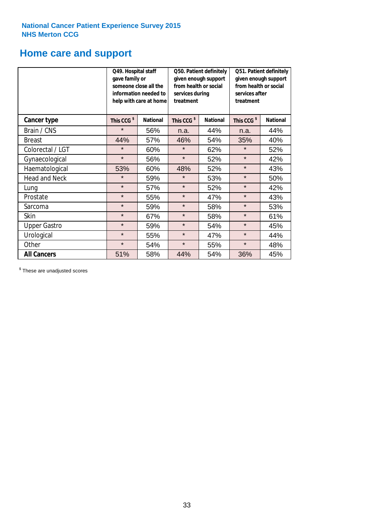### **Home care and support**

|                      | Q49. Hospital staff<br>gave family or | someone close all the<br>information needed to<br>help with care at home | Q50. Patient definitely<br>given enough support<br>from health or social<br>services during<br>treatment |                 | Q51. Patient definitely<br>given enough support<br>from health or social<br>services after<br>treatment |                 |
|----------------------|---------------------------------------|--------------------------------------------------------------------------|----------------------------------------------------------------------------------------------------------|-----------------|---------------------------------------------------------------------------------------------------------|-----------------|
| <b>Cancer type</b>   | This CCG <sup>\$</sup>                | <b>National</b>                                                          | This CCG <sup>\$</sup>                                                                                   | <b>National</b> | This CCG <sup>\$</sup>                                                                                  | <b>National</b> |
| Brain / CNS          | $\star$                               | 56%                                                                      | n.a.                                                                                                     | 44%             | n.a.                                                                                                    | 44%             |
| <b>Breast</b>        | 44%                                   | 57%                                                                      | 46%                                                                                                      | 54%             | 35%                                                                                                     | 40%             |
| Colorectal / LGT     | $\star$                               | 60%                                                                      | $\star$                                                                                                  | 62%             | $\star$                                                                                                 | 52%             |
| Gynaecological       | $\star$                               | 56%                                                                      | $\star$                                                                                                  | 52%             | $\star$                                                                                                 | 42%             |
| Haematological       | 53%                                   | 60%                                                                      | 48%                                                                                                      | 52%             | $\star$                                                                                                 | 43%             |
| <b>Head and Neck</b> | $\star$                               | 59%                                                                      | $\star$                                                                                                  | 53%             | $\star$                                                                                                 | 50%             |
| Lung                 | $\star$                               | 57%                                                                      | $\star$                                                                                                  | 52%             | $\star$                                                                                                 | 42%             |
| Prostate             | $\star$                               | 55%                                                                      | $\star$                                                                                                  | 47%             | $\star$                                                                                                 | 43%             |
| Sarcoma              | $\star$                               | 59%                                                                      | $\star$                                                                                                  | 58%             | $\star$                                                                                                 | 53%             |
| Skin                 | $\star$                               | 67%                                                                      | $\star$                                                                                                  | 58%             | $\star$                                                                                                 | 61%             |
| <b>Upper Gastro</b>  | $\star$                               | 59%                                                                      | $\star$                                                                                                  | 54%             | $\star$                                                                                                 | 45%             |
| Urological           | $\star$                               | 55%                                                                      | $\star$                                                                                                  | 47%             | $\star$                                                                                                 | 44%             |
| Other                | $\star$                               | 54%                                                                      | $\star$<br>55%                                                                                           |                 | $\star$                                                                                                 | 48%             |
| <b>All Cancers</b>   | 51%                                   | 58%                                                                      | 44%                                                                                                      | 54%             | 36%                                                                                                     | 45%             |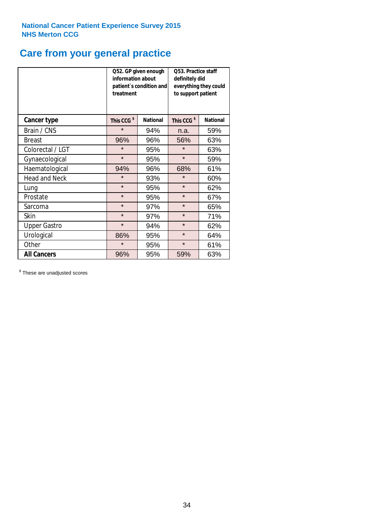# **Care from your general practice**

|                      | information about<br>treatment | Q52. GP given enough<br>patient's condition and | <b>O53. Practice staff</b><br>definitely did<br>everything they could<br>to support patient |                 |  |
|----------------------|--------------------------------|-------------------------------------------------|---------------------------------------------------------------------------------------------|-----------------|--|
| <b>Cancer type</b>   | This CCG <sup>\$</sup>         | <b>National</b>                                 | This CCG <sup>\$</sup>                                                                      | <b>National</b> |  |
| Brain / CNS          | $\star$                        | 94%                                             | n.a.                                                                                        | 59%             |  |
| <b>Breast</b>        | 96%                            | 96%                                             | 56%                                                                                         | 63%             |  |
| Colorectal / LGT     | $\star$                        | 95%                                             | $\star$                                                                                     | 63%             |  |
| Gynaecological       | $\star$                        | 95%                                             | $\star$                                                                                     | 59%             |  |
| Haematological       | 94%                            | 96%                                             | 68%                                                                                         | 61%             |  |
| <b>Head and Neck</b> | $\star$                        | 93%                                             | $\star$                                                                                     | 60%             |  |
| Lung                 | $\star$                        | 95%                                             | $\star$                                                                                     | 62%             |  |
| Prostate             | $\star$                        | 95%                                             | $\star$                                                                                     | 67%             |  |
| Sarcoma              | $\star$                        | 97%                                             | $\star$                                                                                     | 65%             |  |
| <b>Skin</b>          | $\star$                        | 97%                                             | $\star$                                                                                     | 71%             |  |
| <b>Upper Gastro</b>  | $\star$                        | 94%                                             | $\star$                                                                                     | 62%             |  |
| Urological           | 86%                            | 95%                                             | $\star$                                                                                     | 64%             |  |
| Other                | $\star$                        | 95%                                             | $\star$                                                                                     | 61%             |  |
| <b>All Cancers</b>   | 96%                            | 95%                                             | 59%                                                                                         | 63%             |  |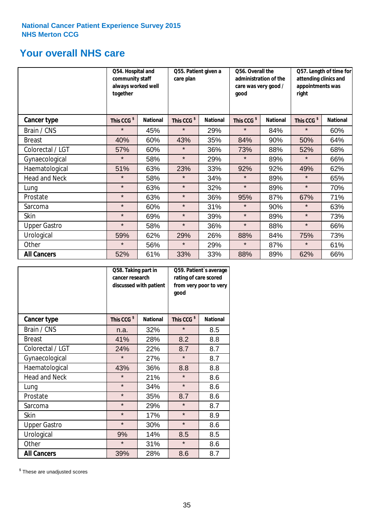### **Your overall NHS care**

|                      | Q54. Hospital and<br>community staff<br>always worked well<br>together |                 | Q55. Patient given a<br>care plan |                 | Q56. Overall the<br>administration of the<br>care was very good /<br>qood |                 | Q57. Length of time for<br>attending clinics and<br>appointments was<br>right |                 |
|----------------------|------------------------------------------------------------------------|-----------------|-----------------------------------|-----------------|---------------------------------------------------------------------------|-----------------|-------------------------------------------------------------------------------|-----------------|
| Cancer type          | This CCG <sup>\$</sup>                                                 | <b>National</b> | This CCG <sup>\$</sup>            | <b>National</b> | This CCG <sup>\$</sup>                                                    | <b>National</b> | This CCG <sup>\$</sup>                                                        | <b>National</b> |
| Brain / CNS          | $\star$                                                                | 45%             | $\star$                           | 29%             | $\star$                                                                   | 84%             | $\star$                                                                       | 60%             |
| <b>Breast</b>        | 40%                                                                    | 60%             | 43%                               | 35%             | 84%                                                                       | 90%             | 50%                                                                           | 64%             |
| Colorectal / LGT     | 57%                                                                    | 60%             | $\star$                           | 36%             | 73%                                                                       | 88%             | 52%                                                                           | 68%             |
| Gynaecological       | $\star$                                                                | 58%             | $\star$                           | 29%             | $\star$                                                                   | 89%             | $\star$                                                                       | 66%             |
| Haematological       | 51%                                                                    | 63%             | 23%                               | 33%             | 92%                                                                       | 92%             | 49%                                                                           | 62%             |
| <b>Head and Neck</b> | $\star$                                                                | 58%             | $\star$                           | 34%             | $\star$                                                                   | 89%             | $\star$                                                                       | 65%             |
| Lung                 | $\star$                                                                | 63%             | $\star$                           | 32%             | $\star$                                                                   | 89%             | $\star$                                                                       | 70%             |
| Prostate             | $\star$                                                                | 63%             | $\star$                           | 36%             | 95%                                                                       | 87%             | 67%                                                                           | 71%             |
| Sarcoma              | $\star$                                                                | 60%             | $\star$                           | 31%             | $\star$                                                                   | 90%             | $\star$                                                                       | 63%             |
| Skin                 | $\star$                                                                | 69%             | $\star$                           | 39%             | $\star$                                                                   | 89%             | $\star$                                                                       | 73%             |
| <b>Upper Gastro</b>  | $\star$                                                                | 58%             | $\star$                           | 36%             | $\star$                                                                   | 88%             | $\star$                                                                       | 66%             |
| Urological           | 59%                                                                    | 62%             | 29%                               | 26%             | 88%                                                                       | 84%             | 75%                                                                           | 73%             |
| Other                | $\star$                                                                | 56%             | $\star$                           | 29%             | $\star$                                                                   | 87%             | $\star$                                                                       | 61%             |
| <b>All Cancers</b>   | 52%                                                                    | 61%             | 33%                               | 33%             | 88%                                                                       | 89%             | 62%                                                                           | 66%             |

|                      | Q58. Taking part in<br>cancer research | discussed with patient | Q59. Patient's average<br>rating of care scored<br>from very poor to very<br>good |                 |  |
|----------------------|----------------------------------------|------------------------|-----------------------------------------------------------------------------------|-----------------|--|
| <b>Cancer type</b>   | This CCG <sup>\$</sup>                 | <b>National</b>        | This CCG <sup>\$</sup>                                                            | <b>National</b> |  |
| Brain / CNS          | n.a.                                   | 32%                    | $\star$                                                                           | 8.5             |  |
| <b>Breast</b>        | 41%                                    | 28%                    | 8.2                                                                               | 8.8             |  |
| Colorectal / LGT     | 24%                                    | 22%                    | 8.7                                                                               | 8.7             |  |
| Gynaecological       | $\star$                                | 27%                    | $\star$                                                                           | 8.7             |  |
| Haematological       | 43%                                    | 36%                    | 8.8                                                                               | 8.8             |  |
| <b>Head and Neck</b> | $\star$                                | 21%                    | $\star$                                                                           | 8.6             |  |
| Lung                 | $\star$                                | 34%                    | $\star$                                                                           | 8.6             |  |
| Prostate             | $\star$                                | 35%                    | 8.7                                                                               | 8.6             |  |
| Sarcoma              | $\star$                                | 29%                    | $\star$                                                                           | 8.7             |  |
| <b>Skin</b>          | $\star$                                | 17%                    | $\star$                                                                           | 8.9             |  |
| <b>Upper Gastro</b>  | $\star$                                | 30%                    | $\star$                                                                           | 8.6             |  |
| Urological           | 9%                                     | 14%                    | 8.5                                                                               | 8.5             |  |
| Other                | $\star$                                | 31%                    | $\star$                                                                           | 8.6             |  |
| <b>All Cancers</b>   | 39%                                    | 28%                    | 8.6                                                                               | 8.7             |  |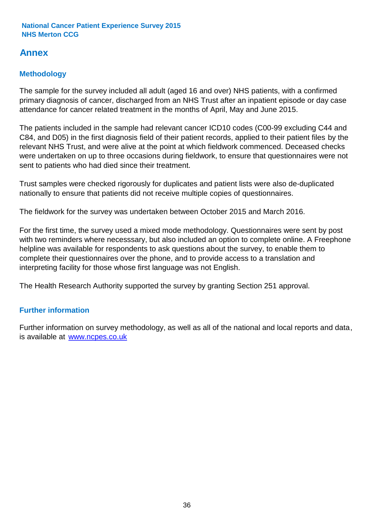### **Annex**

### **Methodology**

The sample for the survey included all adult (aged 16 and over) NHS patients, with a confirmed primary diagnosis of cancer, discharged from an NHS Trust after an inpatient episode or day case attendance for cancer related treatment in the months of April, May and June 2015.

The patients included in the sample had relevant cancer ICD10 codes (C00-99 excluding C44 and C84, and D05) in the first diagnosis field of their patient records, applied to their patient files by the relevant NHS Trust, and were alive at the point at which fieldwork commenced. Deceased checks were undertaken on up to three occasions during fieldwork, to ensure that questionnaires were not sent to patients who had died since their treatment.

Trust samples were checked rigorously for duplicates and patient lists were also de-duplicated nationally to ensure that patients did not receive multiple copies of questionnaires.

The fieldwork for the survey was undertaken between October 2015 and March 2016.

For the first time, the survey used a mixed mode methodology. Questionnaires were sent by post with two reminders where necesssary, but also included an option to complete online. A Freephone helpline was available for respondents to ask questions about the survey, to enable them to complete their questionnaires over the phone, and to provide access to a translation and interpreting facility for those whose first language was not English.

The Health Research Authority supported the survey by granting Section 251 approval.

#### **Further information**

Further information on survey methodology, as well as all of the national and local reports and data, is available at www.ncpes.co.uk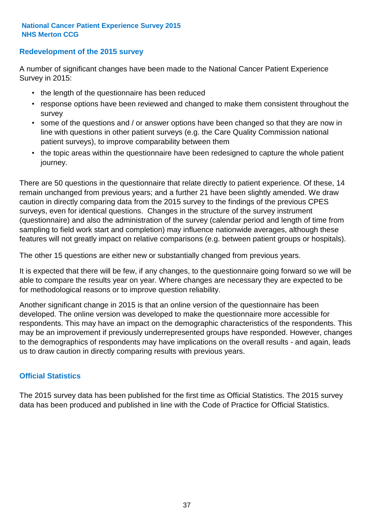#### **Redevelopment of the 2015 survey**

A number of significant changes have been made to the National Cancer Patient Experience Survey in 2015:

- the length of the questionnaire has been reduced
- response options have been reviewed and changed to make them consistent throughout the survey
- some of the questions and / or answer options have been changed so that they are now in line with questions in other patient surveys (e.g. the Care Quality Commission national patient surveys), to improve comparability between them
- the topic areas within the questionnaire have been redesigned to capture the whole patient journey.

There are 50 questions in the questionnaire that relate directly to patient experience. Of these, 14 remain unchanged from previous years; and a further 21 have been slightly amended. We draw caution in directly comparing data from the 2015 survey to the findings of the previous CPES surveys, even for identical questions. Changes in the structure of the survey instrument (questionnaire) and also the administration of the survey (calendar period and length of time from sampling to field work start and completion) may influence nationwide averages, although these features will not greatly impact on relative comparisons (e.g. between patient groups or hospitals).

The other 15 questions are either new or substantially changed from previous years.

It is expected that there will be few, if any changes, to the questionnaire going forward so we will be able to compare the results year on year. Where changes are necessary they are expected to be for methodological reasons or to improve question reliability.

Another significant change in 2015 is that an online version of the questionnaire has been developed. The online version was developed to make the questionnaire more accessible for respondents. This may have an impact on the demographic characteristics of the respondents. This may be an improvement if previously underrepresented groups have responded. However, changes to the demographics of respondents may have implications on the overall results - and again, leads us to draw caution in directly comparing results with previous years.

#### **Official Statistics**

The 2015 survey data has been published for the first time as Official Statistics. The 2015 survey data has been produced and published in line with the Code of Practice for Official Statistics.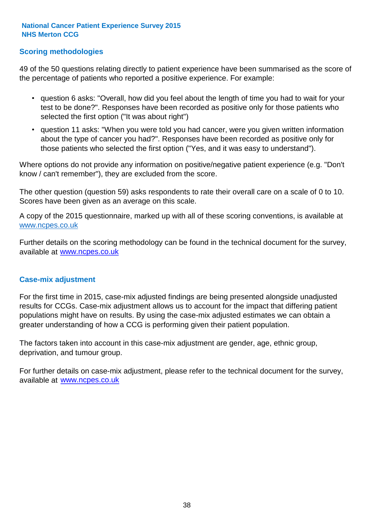#### **Scoring methodologies**

49 of the 50 questions relating directly to patient experience have been summarised as the score of the percentage of patients who reported a positive experience. For example:

- question 6 asks: "Overall, how did you feel about the length of time you had to wait for your test to be done?". Responses have been recorded as positive only for those patients who selected the first option ("It was about right")
- question 11 asks: "When you were told you had cancer, were you given written information about the type of cancer you had?". Responses have been recorded as positive only for those patients who selected the first option ("Yes, and it was easy to understand").

Where options do not provide any information on positive/negative patient experience (e.g. "Don't know / can't remember"), they are excluded from the score.

The other question (question 59) asks respondents to rate their overall care on a scale of 0 to 10. Scores have been given as an average on this scale.

A copy of the 2015 questionnaire, marked up with all of these scoring conventions, is available at www.ncpes.co.uk

Further details on the scoring methodology can be found in the technical document for the survey, available at <u>www.ncpes.co.uk</u>

#### **Case-mix adjustment**

For the first time in 2015, case-mix adjusted findings are being presented alongside unadjusted results for CCGs. Case-mix adjustment allows us to account for the impact that differing patient populations might have on results. By using the case-mix adjusted estimates we can obtain a greater understanding of how a CCG is performing given their patient population.

The factors taken into account in this case-mix adjustment are gender, age, ethnic group, deprivation, and tumour group.

For further details on case-mix adjustment, please refer to the technical document for the survey, available at www.ncpes.co.uk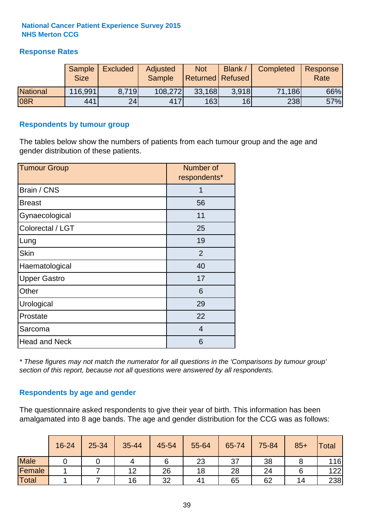#### **Response Rates**

|                 | Sample      | <b>Excluded</b> | Adjusted      | <b>Not</b>              | Blank /         | Completed | Response |
|-----------------|-------------|-----------------|---------------|-------------------------|-----------------|-----------|----------|
|                 | <b>Size</b> |                 | <b>Sample</b> | <b>Returned Refused</b> |                 |           | Rate     |
| <b>National</b> | 116,991     | 8.719           | 108,272       | 33,168                  | 3.918           | 71,186    | 66%      |
| <b>08R</b>      | 441         | 24              | 417           | 163                     | 16 <sup>l</sup> | 238       | 57%      |

#### **Respondents by tumour group**

The tables below show the numbers of patients from each tumour group and the age and gender distribution of these patients.

| <b>Tumour Group</b>  | Number of<br>respondents* |  |  |
|----------------------|---------------------------|--|--|
| Brain / CNS          | 1                         |  |  |
| <b>Breast</b>        | 56                        |  |  |
| Gynaecological       | 11                        |  |  |
| Colorectal / LGT     | 25                        |  |  |
| Lung                 | 19                        |  |  |
| <b>Skin</b>          | 2                         |  |  |
| Haematological       | 40                        |  |  |
| <b>Upper Gastro</b>  | 17                        |  |  |
| Other                | 6                         |  |  |
| Urological           | 29                        |  |  |
| Prostate             | 22                        |  |  |
| Sarcoma              | $\overline{4}$            |  |  |
| <b>Head and Neck</b> | 6                         |  |  |

*\* These figures may not match the numerator for all questions in the 'Comparisons by tumour group' section of this report, because not all questions were answered by all respondents.*

#### **Respondents by age and gender**

The questionnaire asked respondents to give their year of birth. This information has been amalgamated into 8 age bands. The age and gender distribution for the CCG was as follows:

|             | 16-24 | 25-34 | 35-44 | 45-54 | 55-64 | 65-74 | 75-84 | $85+$ | <b>Total</b> |
|-------------|-------|-------|-------|-------|-------|-------|-------|-------|--------------|
| <b>Male</b> |       |       |       |       | 23    | 37    | 38    |       | 116          |
| Female      |       |       | 12    | 26    | 18    | 28    | 24    |       | 122          |
| Total       |       |       | 16    | 32    | 41    | 65    | 62    | 14    | 238          |